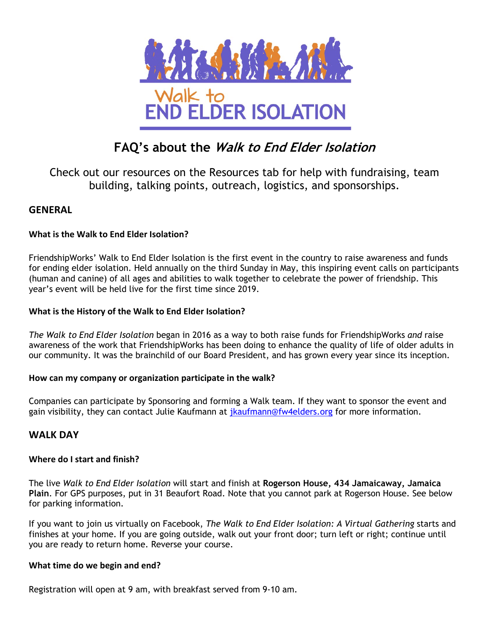

# **FAQ's about the Walk to End Elder Isolation**

Check out our resources on the Resources tab for help with fundraising, team building, talking points, outreach, logistics, and sponsorships.

# **GENERAL**

# **What is the Walk to End Elder Isolation?**

FriendshipWorks' Walk to End Elder Isolation is the first event in the country to raise awareness and funds for ending elder isolation. Held annually on the third Sunday in May, this inspiring event calls on participants (human and canine) of all ages and abilities to walk together to celebrate the power of friendship. This year's event will be held live for the first time since 2019.

### **What is the History of the Walk to End Elder Isolation?**

*The Walk to End Elder Isolation* began in 2016 as a way to both raise funds for FriendshipWorks *and* raise awareness of the work that FriendshipWorks has been doing to enhance the quality of life of older adults in our community. It was the brainchild of our Board President, and has grown every year since its inception.

# **How can my company or organization participate in the walk?**

Companies can participate by Sponsoring and forming a Walk team. If they want to sponsor the event and gain visibility, they can contact Julie Kaufmann at jkaufmann@fw4elders.org for more information.

# **WALK DAY**

# **Where do I start and finish?**

The live *Walk to End Elder Isolation* will start and finish at **Rogerson House, 434 Jamaicaway, Jamaica Plain**. For GPS purposes, put in 31 Beaufort Road. Note that you cannot park at Rogerson House. See below for parking information.

If you want to join us virtually on Facebook, *The Walk to End Elder Isolation: A Virtual Gathering* starts and finishes at your home. If you are going outside, walk out your front door; turn left or right; continue until you are ready to return home. Reverse your course.

#### **What time do we begin and end?**

Registration will open at 9 am, with breakfast served from 9-10 am.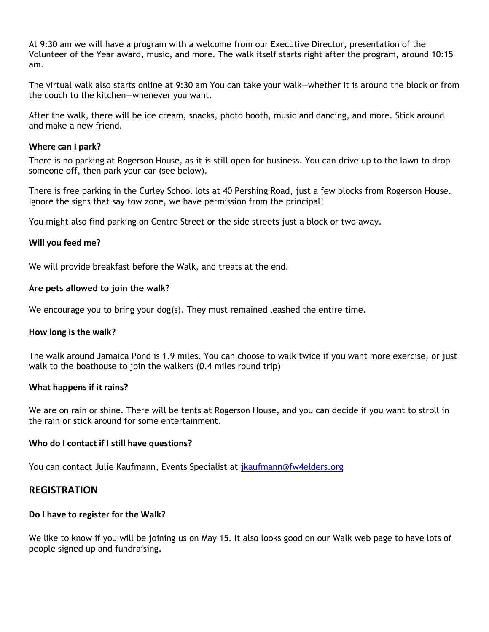At 9:30 am we will have a program with a welcome from our Executive Director, presentation of the Volunteer of the Year award, music, and more. The walk itself starts right after the program, around 10:15 am.

The virtual walk also starts online at 9:30 am You can take your walk—whether it is around the block or from the couch to the kitchen—whenever you want.

After the walk, there will be ice cream, snacks, photo booth, music and dancing, and more. Stick around and make a new friend.

#### **Where can I park?**

There is no parking at Rogerson House, as it is still open for business. You can drive up to the lawn to drop someone off, then park your car (see below).

There is free parking in the Curley School lots at 40 Pershing Road, just a few blocks from Rogerson House. Ignore the signs that say tow zone, we have permission from the principal!

You might also find parking on Centre Street or the side streets just a block or two away.

# **Will you feed me?**

We will provide breakfast before the Walk, and treats at the end.

#### **Are pets allowed to join the walk?**

We encourage you to bring your dog(s). They must remained leashed the entire time.

#### **How long is the walk?**

The walk around Jamaica Pond is 1.9 miles. You can choose to walk twice if you want more exercise, or just walk to the boathouse to join the walkers (0.4 miles round trip)

#### **What happens if it rains?**

We are on rain or shine. There will be tents at Rogerson House, and you can decide if you want to stroll in the rain or stick around for some entertainment.

# **Who do I contact if I still have questions?**

You can contact Julie Kaufmann, Events Specialist at jkaufmann@fw4elders.org

# **REGISTRATION**

# **Do I have to register for the Walk?**

We like to know if you will be joining us on May 15. It also looks good on our Walk web page to have lots of people signed up and fundraising.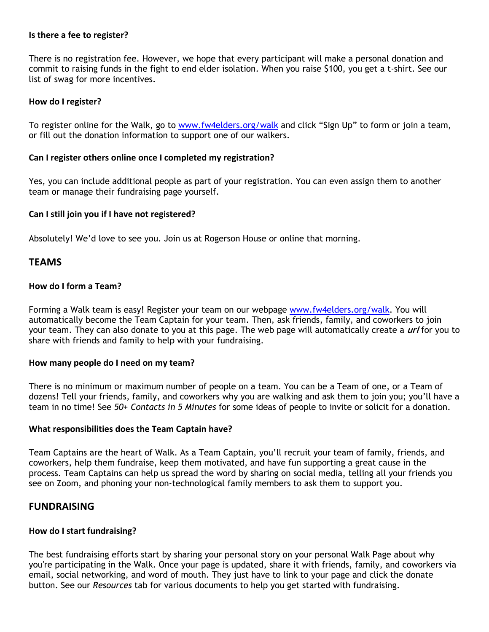#### **Is there a fee to register?**

There is no registration fee. However, we hope that every participant will make a personal donation and commit to raising funds in the fight to end elder isolation. When you raise \$100, you get a t-shirt. See our list of swag for more incentives.

#### **How do I register?**

To register online for the Walk, go to www.fw4elders.org/walk and click "Sign Up" to form or join a team, or fill out the donation information to support one of our walkers.

#### **Can I register others online once I completed my registration?**

Yes, you can include additional people as part of your registration. You can even assign them to another team or manage their fundraising page yourself.

#### **Can I still join you if I have not registered?**

Absolutely! We'd love to see you. Join us at Rogerson House or online that morning.

# **TEAMS**

#### **How do I form a Team?**

Forming a Walk team is easy! Register your team on our webpage www.fw4elders.org/walk. You will automatically become the Team Captain for your team. Then, ask friends, family, and coworkers to join your team. They can also donate to you at this page. The web page will automatically create a **url** for you to share with friends and family to help with your fundraising.

#### **How many people do I need on my team?**

There is no minimum or maximum number of people on a team. You can be a Team of one, or a Team of dozens! Tell your friends, family, and coworkers why you are walking and ask them to join you; you'll have a team in no time! See *50+ Contacts in 5 Minutes* for some ideas of people to invite or solicit for a donation.

#### **What responsibilities does the Team Captain have?**

Team Captains are the heart of Walk. As a Team Captain, you'll recruit your team of family, friends, and coworkers, help them fundraise, keep them motivated, and have fun supporting a great cause in the process. Team Captains can help us spread the word by sharing on social media, telling all your friends you see on Zoom, and phoning your non-technological family members to ask them to support you.

# **FUNDRAISING**

#### **How do I start fundraising?**

The best fundraising efforts start by sharing your personal story on your personal Walk Page about why you're participating in the Walk. Once your page is updated, share it with friends, family, and coworkers via email, social networking, and word of mouth. They just have to link to your page and click the donate button. See our *Resources* tab for various documents to help you get started with fundraising.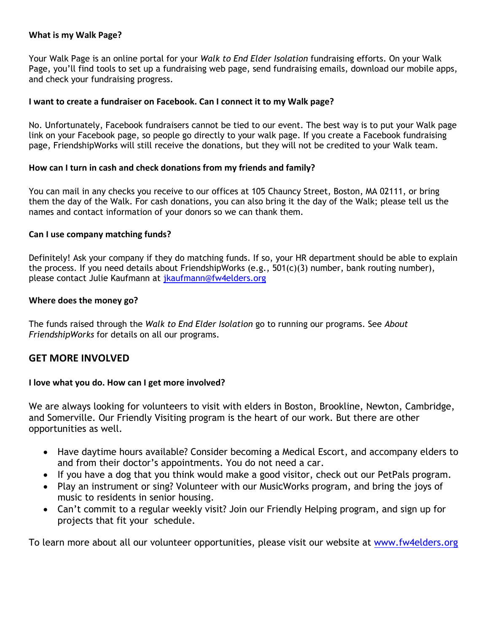# **What is my Walk Page?**

Your Walk Page is an online portal for your *Walk to End Elder Isolation* fundraising efforts. On your Walk Page, you'll find tools to set up a fundraising web page, send fundraising emails, download our mobile apps, and check your fundraising progress.

# **I want to create a fundraiser on Facebook. Can I connect it to my Walk page?**

No. Unfortunately, Facebook fundraisers cannot be tied to our event. The best way is to put your Walk page link on your Facebook page, so people go directly to your walk page. If you create a Facebook fundraising page, FriendshipWorks will still receive the donations, but they will not be credited to your Walk team.

#### **How can I turn in cash and check donations from my friends and family?**

You can mail in any checks you receive to our offices at 105 Chauncy Street, Boston, MA 02111, or bring them the day of the Walk. For cash donations, you can also bring it the day of the Walk; please tell us the names and contact information of your donors so we can thank them.

#### **Can I use company matching funds?**

Definitely! Ask your company if they do matching funds. If so, your HR department should be able to explain the process. If you need details about FriendshipWorks (e.g., 501(c)(3) number, bank routing number), please contact Julie Kaufmann at jkaufmann@fw4elders.org

#### **Where does the money go?**

The funds raised through the *Walk to End Elder Isolation* go to running our programs. See *About FriendshipWorks* for details on all our programs.

# **GET MORE INVOLVED**

# **I love what you do. How can I get more involved?**

We are always looking for volunteers to visit with elders in Boston, Brookline, Newton, Cambridge, and Somerville. Our Friendly Visiting program is the heart of our work. But there are other opportunities as well.

- Have daytime hours available? Consider becoming a Medical Escort, and accompany elders to and from their doctor's appointments. You do not need a car.
- If you have a dog that you think would make a good visitor, check out our PetPals program.
- Play an instrument or sing? Volunteer with our MusicWorks program, and bring the joys of music to residents in senior housing.
- Can't commit to a regular weekly visit? Join our Friendly Helping program, and sign up for projects that fit your schedule.

To learn more about all our volunteer opportunities, please visit our website at www.fw4elders.org